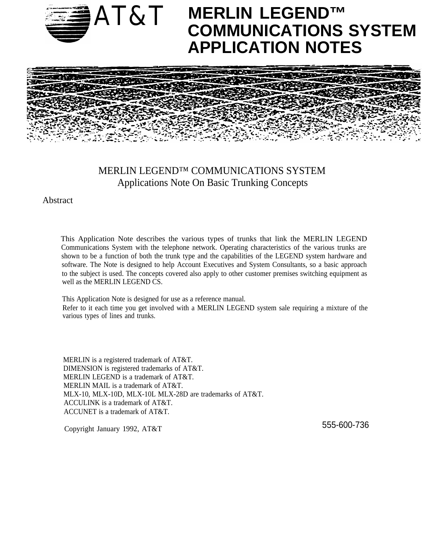

# AT&T **MERLIN LEGEND™ COMMUNICATIONS SYSTEM APPLICATION NOTES**



# MERLIN LEGEND™ COMMUNICATIONS SYSTEM Applications Note On Basic Trunking Concepts

Abstract

This Application Note describes the various types of trunks that link the MERLIN LEGEND Communications System with the telephone network. Operating characteristics of the various trunks are shown to be a function of both the trunk type and the capabilities of the LEGEND system hardware and software. The Note is designed to help Account Executives and System Consultants, so a basic approach to the subject is used. The concepts covered also apply to other customer premises switching equipment as well as the MERLIN LEGEND CS.

This Application Note is designed for use as a reference manual. Refer to it each time you get involved with a MERLIN LEGEND system sale requiring a mixture of the various types of lines and trunks.

MERLIN is a registered trademark of AT&T. DIMENSION is registered trademarks of AT&T. MERLIN LEGEND is a trademark of AT&T. MERLIN MAIL is a trademark of AT&T. MLX-10, MLX-10D, MLX-10L MLX-28D are trademarks of AT&T. ACCULINK is a trademark of AT&T. ACCUNET is a trademark of AT&T.

Copyright January 1992, AT&T 555-600-736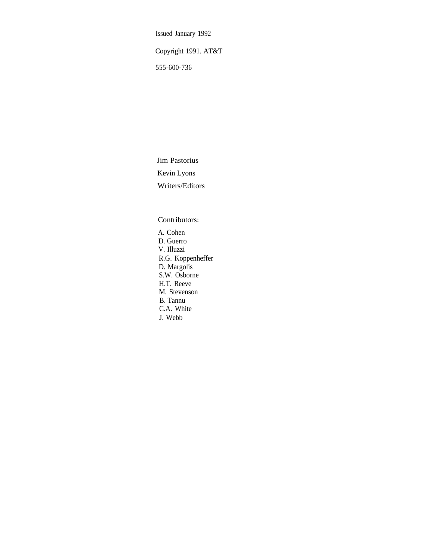Issued January 1992

Copyright 1991. AT&T

555-600-736

Jim Pastorius Kevin Lyons Writers/Editors

Contributors:

A. Cohen D. Guerro V. Illuzzi R.G. Koppenheffer D. Margolis S.W. Osborne H.T. Reeve M. Stevenson B. Tannu C.A. White J. Webb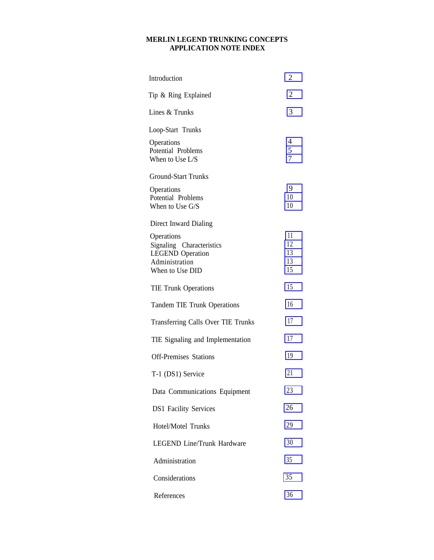#### **MERLIN LEGEND TRUNKING CONCEPTS APPLICATION NOTE INDEX**

| Introduction                                                                                            | 2                          |
|---------------------------------------------------------------------------------------------------------|----------------------------|
| Tip & Ring Explained                                                                                    | 2                          |
| Lines & Trunks                                                                                          | 3                          |
| Loop-Start Trunks                                                                                       |                            |
| Operations<br>Potential Problems<br>When to Use L/S                                                     | 4<br>$\frac{5}{7}$         |
| <b>Ground-Start Trunks</b>                                                                              |                            |
| Operations<br>Potential Problems<br>When to Use G/S                                                     | 9<br>10<br>10              |
| Direct Inward Dialing                                                                                   |                            |
| Operations<br>Signaling Characteristics<br><b>LEGEND</b> Operation<br>Administration<br>When to Use DID | 11<br>12<br>13<br>13<br>15 |
| <b>TIE Trunk Operations</b>                                                                             | 15                         |
| <b>Tandem TIE Trunk Operations</b>                                                                      | 16                         |
| Transferring Calls Over TIE Trunks                                                                      | 17                         |
| TIE Signaling and Implementation                                                                        | 17                         |
| <b>Off-Premises Stations</b>                                                                            | 19                         |
| T-1 (DS1) Service                                                                                       | 21                         |
| Data Communications Equipment                                                                           | 23                         |
| <b>DS1 Facility Services</b>                                                                            | 26                         |
| <b>Hotel/Motel Trunks</b>                                                                               | 29                         |
| <b>LEGEND Line/Trunk Hardware</b>                                                                       | 30                         |
| Administration                                                                                          | 35                         |
| Considerations                                                                                          | 35                         |
| References                                                                                              | 36                         |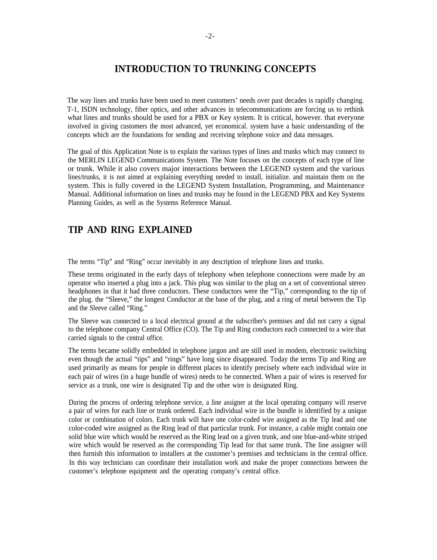# **INTRODUCTION TO TRUNKING CONCEPTS**

<span id="page-3-0"></span>The way lines and trunks have been used to meet customers' needs over past decades is rapidly changing. T-1, ISDN technology, fiber optics, and other advances in telecommunications are forcing us to rethink what lines and trunks should be used for a PBX or Key system. It is critical, however. that everyone involved in giving customers the most advanced, yet economical. system have a basic understanding of the concepts which are the foundations for sending and receiving telephone voice and data messages.

The goal of this Application Note is to explain the various types of lines and trunks which may connect to the MERLIN LEGEND Communications System. The Note focuses on the concepts of each type of line or trunk. While it also covers major interactions between the LEGEND system and the various lines/trunks, it is not aimed at explaining everything needed to install, initialize. and maintain them on the system. This is fully covered in the LEGEND System Installation, Programming, and Maintenance Manual. Additional information on lines and trunks may be found in the LEGEND PBX and Key Systems Planning Guides, as well as the Systems Reference Manual.

# **TIP AND RING EXPLAINED**

The terms "Tip" and "Ring" occur inevitably in any description of telephone lines and trunks.

These terms originated in the early days of telephony when telephone connections were made by an operator who inserted a plug into a jack. This plug was similar to the plug on a set of conventional stereo headphones in that it had three conductors. These conductors were the "Tip," corresponding to the tip of the plug. the "Sleeve," the longest Conductor at the base of the plug, and a ring of metal between the Tip and the Sleeve called "Ring."

The Sleeve was connected to a local electrical ground at the subscriber's premises and did not carry a signal to the telephone company Central Office (CO). The Tip and Ring conductors each connected to a wire that carried signals to the central office.

The terms became solidly embedded in telephone jargon and are still used in modem, electronic switching even though the actual "tips" and "rings" have long since disappeared. Today the terms Tip and Ring are used primarily as means for people in different places to identify precisely where each individual wire in each pair of wires (in a huge bundle of wires) needs to be connected. When a pair of wires is reserved for service as a trunk, one wire is designated Tip and the other wire is designated Ring.

During the process of ordering telephone service, a line assigner at the local operating company will reserve a pair of wires for each line or trunk ordered. Each individual wire in the bundle is identified by a unique color or combination of colors. Each trunk will have one color-coded wire assigned as the Tip lead and one color-coded wire assigned as the Ring lead of that particular trunk. For instance, a cable might contain one solid blue wire which would be reserved as the Ring lead on a given trunk, and one blue-and-white striped wire which would be reserved as the corresponding Tip lead for that same trunk. The line assigner will then furnish this information to installers at the customer's premises and technicians in the central office. In this way technicians can coordinate their installation work and make the proper connections between the customer's telephone equipment and the operating company's central office.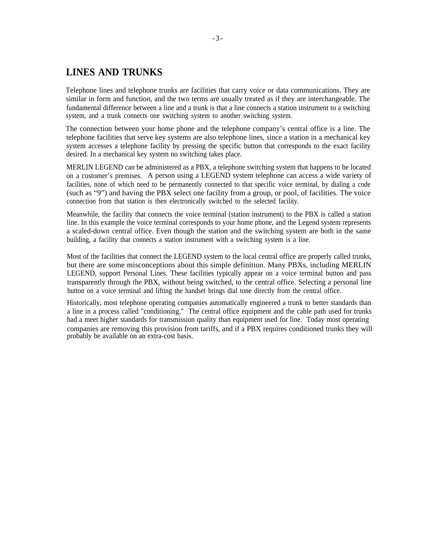# <span id="page-4-0"></span>**LINES AND TRUNKS**

Telephone lines and telephone trunks are facilities that carry voice or data communications. They are similar in form and function, and the two terms are usually treated as if they are interchangeable. The fundamental difference between a line and a trunk is that a line connects a station instrument to a switching system, and a trunk connects one switching system to another switching system.

The connection between your home phone and the telephone company's central office is a line. The telephone facilities that serve key systems are also telephone lines, since a station in a mechanical key system accesses a telephone facility by pressing the specific button that corresponds to the exact facility desired. In a mechanical key system no switching takes place.

MERLIN LEGEND can be administered as a PBX, a telephone switching system that happens to be located on a customer's premises. A person using a LEGEND system telephone can access a wide variety of facilities, none of which need to be permanently connected to that specific voice terminal, by dialing a code (such as "9") and having the PBX select one facility from a group, or pool, of facilities. The voice connection from that station is then electronically switched to the selected facility.

Meanwhile, the facility that connects the voice terminal (station instrument) to the PBX is called a station line. In this example the voice terminal corresponds to your home phone, and the Legend system represents a scaled-down central office. Even though the station and the switching system are both in the same building, a facility that connects a station instrument with a switching system is a line.

Most of the facilities that connect the LEGEND system to the local central office are properly called trunks, but there are some misconceptions about this simple definition. Many PBXs, including MERLIN LEGEND, support Personal Lines. These facilities typically appear on a voice terminal button and pass transparently through the PBX, without being switched, to the central office. Selecting a personal line button on a voice terminal and lifting the handset brings dial tone directly from the central office.

Historically, most telephone operating companies automatically engineered a trunk to better standards than a line in a process called "conditioning." The central office equipment and the cable path used for trunks had a meet higher standards for transmission quality than equipment used for line. Today most operating companies are removing this provision from tariffs, and if a PBX requires conditioned trunks they will probably be available on an extra-cost basis.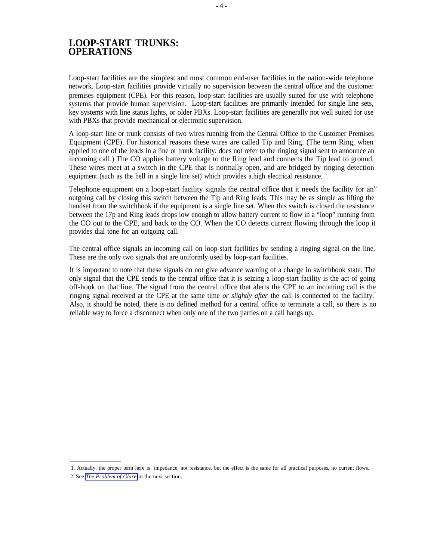# <span id="page-5-0"></span>**LOOP-START TRUNKS: OPERATIONS**

Loop-start facilities are the simplest and most common end-user facilities in the nation-wide telephone network. Loop-start facilities provide virtually no supervision between the central office and the customer premises equipment (CPE). For this reason, loop-start facilities are usually suited for use with telephone systems that provide human supervision. Loop-start facilities are primarily intended for single line sets, key systems with line status lights, or older PBXs. Loop-start facilities are generally not well suited for use with PBXs that provide mechanical or electronic supervision.

A loop-start line or trunk consists of two wires running from the Central Office to the Customer Premises Equipment (CPE). For historical reasons these wires are called Tip and Ring. (The term Ring, when applied to one of the leads in a line or trunk facility, does not refer to the ringing signal sent to announce an incoming call.) The CO applies battery voltage to the Ring lead and connects the Tip lead to ground. These wires meet at a switch in the CPE that is normally open, and are bridged by ringing detection equipment (such as the bell in a single line set) which provides a high electrical resistance.

Telephone equipment on a loop-start facility signals the central office that it needs the facility for an" outgoing call by closing this switch between the Tip and Ring leads. This may be as simple as lifting the handset from the switchhook if the equipment is a single line set. When this switch is closed the resistance between the 17p and Ring leads drops low enough to allow battery current to flow in a "loop" running from the CO out to the CPE, and back to the CO. When the CO detects current flowing through the loop it provides dial tone for an outgoing call.

The central office signals an incoming call on loop-start facilities by sending a ringing signal on the line. These are the only two signals that are uniformly used by loop-start facilities.

It is important to note that these signals do not give advance warning of a change in switchhook state. The only signal that the CPE sends to the central office that it is seizing a loop-start facility is the act of going off-hook on that line. The signal from the central office that alerts the CPE to an incoming call is the ringing signal received at the CPE at the same time *or slightly after* the call is connected to the facility.<sup>2</sup> Also, it should be noted, there is no defined method for a central office to terminate a call, so there is no reliable way to force a disconnect when only one of the two parties on a call hangs up.

2. See *[The Problem of Glare](#page-6-1)* in the next section.

<sup>1.</sup> Actually, the proper term here is impedance, not resistance, but the effect is the same for all practical purposes, no current flows.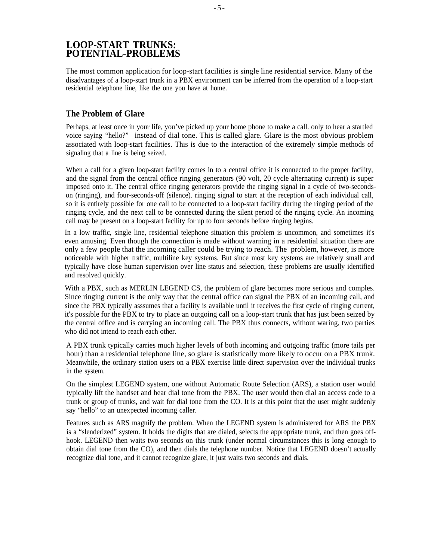# <span id="page-6-0"></span>**LOOP-START TRUNKS: POTENTIAL-PROBLEMS**

The most common application for loop-start facilities is single line residential service. Many of the disadvantages of a loop-start trunk in a PBX environment can be inferred from the operation of a loop-start residential telephone line, like the one you have at home.

# <span id="page-6-1"></span>**The Problem of Glare**

Perhaps, at least once in your life, you've picked up your home phone to make a call. only to hear a startled voice saying "hello?" instead of dial tone. This is called glare. Glare is the most obvious problem associated with loop-start facilities. This is due to the interaction of the extremely simple methods of signaling that a line is being seized.

When a call for a given loop-start facility comes in to a central office it is connected to the proper facility, and the signal from the central office ringing generators (90 volt, 20 cycle alternating current) is super imposed onto it. The central office ringing generators provide the ringing signal in a cycle of two-secondson (ringing), and four-seconds-off (silence). ringing signal to start at the reception of each individual call, so it is entirely possible for one call to be connected to a loop-start facility during the ringing period of the ringing cycle, and the next call to be connected during the silent period of the ringing cycle. An incoming call may be present on a loop-start facility for up to four seconds before ringing begins.

In a low traffic, single line, residential telephone situation this problem is uncommon, and sometimes it's even amusing. Even though the connection is made without warning in a residential situation there are only a few people that the incoming caller could be trying to reach. The problem, however, is more noticeable with higher traffic, multiline key systems. But since most key systems are relatively small and typically have close human supervision over line status and selection, these problems are usually identified and resolved quickly.

With a PBX, such as MERLIN LEGEND CS, the problem of glare becomes more serious and comples. Since ringing current is the only way that the central office can signal the PBX of an incoming call, and since the PBX typically asssumes that a facility is available until it receives the first cycle of ringing current, it's possible for the PBX to try to place an outgoing call on a loop-start trunk that has just been seized by the central office and is carrying an incoming call. The PBX thus connects, without waring, two parties who did not intend to reach each other.

A PBX trunk typically carries much higher levels of both incoming and outgoing traffic (more tails per hour) than a residential telephone line, so glare is statistically more likely to occur on a PBX trunk. Meanwhile, the ordinary station users on a PBX exercise little direct supervision over the individual trunks in the system.

On the simplest LEGEND system, one without Automatic Route Selection (ARS), a station user would typically lift the handset and hear dial tone from the PBX. The user would then dial an access code to a trunk or group of trunks, and wait for dial tone from the CO. It is at this point that the user might suddenly say "hello" to an unexpected incoming caller.

Features such as ARS magnify the problem. When the LEGEND system is administered for ARS the PBX is a "slenderized" system. It holds the digits that are dialed, selects the appropriate trunk, and then goes offhook. LEGEND then waits two seconds on this trunk (under normal circumstances this is long enough to obtain dial tone from the CO), and then dials the telephone number. Notice that LEGEND doesn't actually recognize dial tone, and it cannot recognize glare, it just waits two seconds and dials.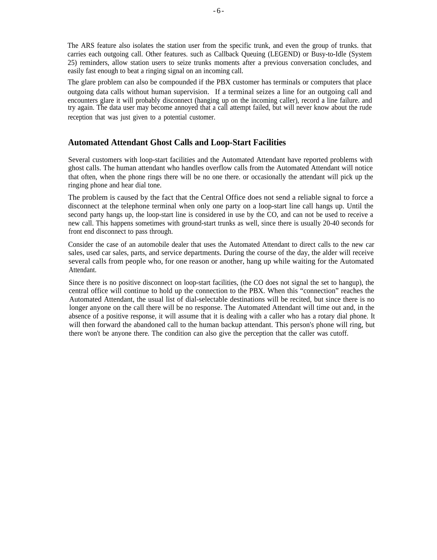The ARS feature also isolates the station user from the specific trunk, and even the group of trunks. that carries each outgoing call. Other features. such as Callback Queuing (LEGEND) or Busy-to-Idle (System 25) reminders, allow station users to seize trunks moments after a previous conversation concludes, and easily fast enough to beat a ringing signal on an incoming call.

The glare problem can also be compounded if the PBX customer has terminals or computers that place outgoing data calls without human supervision. If a terminal seizes a line for an outgoing call and encounters glare it will probably disconnect (hanging up on the incoming caller), record a line failure. and try again. The data user may become annoyed that a call attempt failed, but will never know about the rude reception that was just given to a potential customer.

#### **Automated Attendant Ghost Calls and Loop-Start Facilities**

Several customers with loop-start facilities and the Automated Attendant have reported problems with ghost calls. The human attendant who handles overflow calls from the Automated Attendant will notice that often, when the phone rings there will be no one there. or occasionally the attendant will pick up the ringing phone and hear dial tone.

The problem is caused by the fact that the Central Office does not send a reliable signal to force a disconnect at the telephone terminal when only one party on a loop-start line call hangs up. Until the second party hangs up, the loop-start line is considered in use by the CO, and can not be used to receive a new call. This happens sometimes with ground-start trunks as well, since there is usually 20-40 seconds for front end disconnect to pass through.

Consider the case of an automobile dealer that uses the Automated Attendant to direct calls to the new car sales, used car sales, parts, and service departments. During the course of the day, the alder will receive several calls from people who, for one reason or another, hang up while waiting for the Automated Attendant.

Since there is no positive disconnect on loop-start facilities, (the CO does not signal the set to hangup), the central office will continue to hold up the connection to the PBX. When this "connection" reaches the Automated Attendant, the usual list of dial-selectable destinations will be recited, but since there is no longer anyone on the call there will be no response. The Automated Attendant will time out and, in the absence of a positive response, it will assume that it is dealing with a caller who has a rotary dial phone. It will then forward the abandoned call to the human backup attendant. This person's phone will ring, but there won't be anyone there. The condition can also give the perception that the caller was cutoff.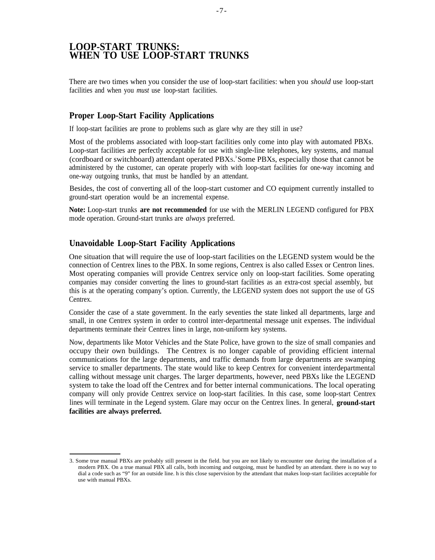# <span id="page-8-0"></span>**LOOP-START TRUNKS: WHEN TO USE LOOP-START TRUNKS**

There are two times when you consider the use of loop-start facilities: when you *should* use loop-start facilities and when you *must* use loop-start facilities.

#### **Proper Loop-Start Facility Applications**

If loop-start facilities are prone to problems such as glare why are they still in use?

Most of the problems associated with loop-start facilities only come into play with automated PBXs. Loop-start facilities are perfectly acceptable for use with single-line telephones, key systems, and manual (cordboard or switchboard) attendant operated PBXS. <sup>3</sup>Some PBXs, especially those that cannot be administered by the customer, can operate properly with with loop-start facilities for one-way incoming and one-way outgoing trunks, that must be handled by an attendant.

Besides, the cost of converting all of the loop-start customer and CO equipment currently installed to ground-start operation would be an incremental expense.

**Note:** Loop-start trunks **are not recommended** for use with the MERLIN LEGEND configured for PBX mode operation. Ground-start trunks are *always* preferred.

#### **Unavoidable Loop-Start Facility Applications**

One situation that will require the use of loop-start facilities on the LEGEND system would be the connection of Centrex lines to the PBX. In some regions, Centrex is also called Essex or Centron lines. Most operating companies will provide Centrex service only on loop-start facilities. Some operating companies may consider converting the lines to ground-start facilities as an extra-cost special assembly, but this is at the operating company's option. Currently, the LEGEND system does not support the use of GS Centrex.

Consider the case of a state government. In the early seventies the state linked all departments, large and small, in one Centrex system in order to control inter-departmental message unit expenses. The individual departments terminate their Centrex lines in large, non-uniform key systems.

Now, departments like Motor Vehicles and the State Police, have grown to the size of small companies and occupy their own buildings. The Centrex is no longer capable of providing efficient internal communications for the large departments, and traffic demands from large departments are swamping service to smaller departments. The state would like to keep Centrex for convenient interdepartmental calling without message unit charges. The larger departments, however, need PBXs like the LEGEND system to take the load off the Centrex and for better internal communications. The local operating company will only provide Centrex service on loop-start facilities. In this case, some loop-start Centrex lines will terminate in the Legend system. Glare may occur on the Centrex lines. In general, **ground-start facilities are always preferred.**

<sup>3.</sup> Some true manual PBXs are probably still present in the field. but you are not likely to encounter one during the installation of a modern PBX. On a true manual PBX all calls, both incoming and outgoing, must be handled by an attendant. there is no way to dial a code such as "9" for an outside line. h is this close supervision by the attendant that makes loop-start facilities acceptable for use with manual PBXs.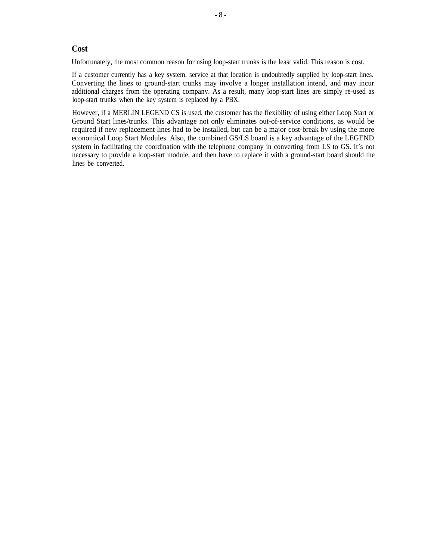#### **Cost**

Unfortunately, the most common reason for using loop-start trunks is the least valid. This reason is cost.

If a customer currently has a key system, service at that location is undoubtedly supplied by loop-start lines. Converting the lines to ground-start trunks may involve a longer installation intend, and may incur additional charges from the operating company. As a result, many loop-start lines are simply re-used as loop-start trunks when the key system is replaced by a PBX.

However, if a MERLIN LEGEND CS is used, the customer has the flexibility of using either Loop Start or Ground Start lines/trunks. This advantage not only eliminates out-of-service conditions, as would be required if new replacement lines had to be installed, but can be a major cost-break by using the more economical Loop Start Modules. Also, the combined GS/LS board is a key advantage of the LEGEND system in facilitating the coordination with the telephone company in converting from LS to GS. It's not necessary to provide a loop-start module, and then have to replace it with a ground-start board should the lines be converted.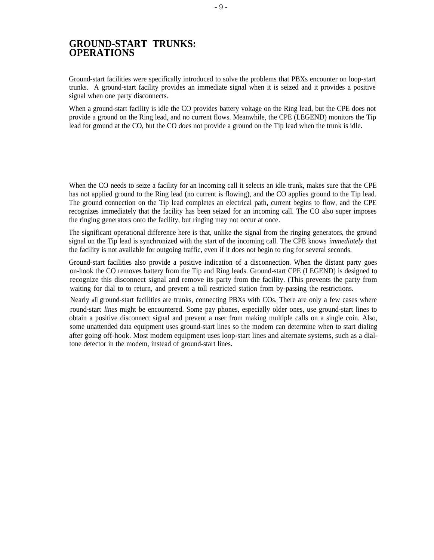# <span id="page-10-0"></span>**GROUND-START TRUNKS: OPERATIONS**

Ground-start facilities were specifically introduced to solve the problems that PBXs encounter on loop-start trunks. A ground-start facility provides an immediate signal when it is seized and it provides a positive signal when one party disconnects.

When a ground-start facility is idle the CO provides battery voltage on the Ring lead, but the CPE does not provide a ground on the Ring lead, and no current flows. Meanwhile, the CPE (LEGEND) monitors the Tip lead for ground at the CO, but the CO does not provide a ground on the Tip lead when the trunk is idle.

When the CO needs to seize a facility for an incoming call it selects an idle trunk, makes sure that the CPE has not applied ground to the Ring lead (no current is flowing), and the CO applies ground to the Tip lead. The ground connection on the Tip lead completes an electrical path, current begins to flow, and the CPE recognizes immediately that the facility has been seized for an incoming call. The CO also super imposes the ringing generators onto the facility, but ringing may not occur at once.

The significant operational difference here is that, unlike the signal from the ringing generators, the ground signal on the Tip lead is synchronized with the start of the incoming call. The CPE knows *immediately* that the facility is not available for outgoing traffic, even if it does not begin to ring for several seconds.

Ground-start facilities also provide a positive indication of a disconnection. When the distant party goes on-hook the CO removes battery from the Tip and Ring leads. Ground-start CPE (LEGEND) is designed to recognize this disconnect signal and remove its party from the facility. (This prevents the party from waiting for dial to to return, and prevent a toll restricted station from by-passing the restrictions.

Nearly all ground-start facilities are trunks, connecting PBXs with COs. There are only a few cases where round-start *lines* might be encountered. Some pay phones, especially older ones, use ground-start lines to obtain a positive disconnect signal and prevent a user from making multiple calls on a single coin. Also, some unattended data equipment uses ground-start lines so the modem can determine when to start dialing after going off-hook. Most modem equipment uses loop-start lines and alternate systems, such as a dialtone detector in the modem, instead of ground-start lines.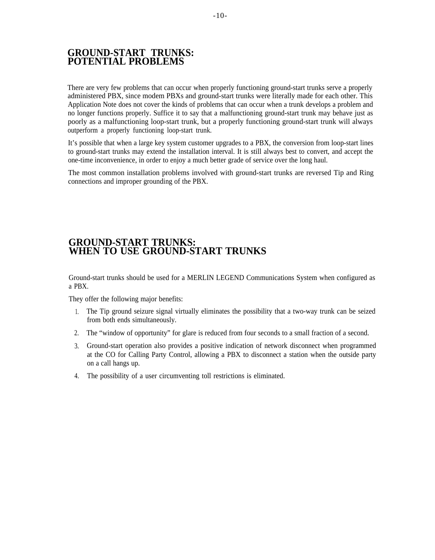# <span id="page-11-0"></span>**GROUND-START TRUNKS: POTENTIAL PROBLEMS**

There are very few problems that can occur when properly functioning ground-start trunks serve a properly administered PBX, since modem PBXs and ground-start trunks were literally made for each other. This Application Note does not cover the kinds of problems that can occur when a trunk develops a problem and no longer functions properly. Suffice it to say that a malfunctioning ground-start trunk may behave just as poorly as a malfunctioning loop-start trunk, but a properly functioning ground-start trunk will always outperform a properly functioning loop-start trunk.

It's possible that when a large key system customer upgrades to a PBX, the conversion from loop-start lines to ground-start trunks may extend the installation interval. It is still always best to convert, and accept the one-time inconvenience, in order to enjoy a much better grade of service over the long haul.

The most common installation problems involved with ground-start trunks are reversed Tip and Ring connections and improper grounding of the PBX.

# **GROUND-START TRUNKS: WHEN TO USE GROUND-START TRUNKS**

Ground-start trunks should be used for a MERLIN LEGEND Communications System when configured as a PBX.

They offer the following major benefits:

- 1. The Tip ground seizure signal virtually eliminates the possibility that a two-way trunk can be seized from both ends simultaneously.
- 2. The "window of opportunity" for glare is reduced from four seconds to a small fraction of a second.
- 3. Ground-start operation also provides a positive indication of network disconnect when programmed at the CO for Calling Party Control, allowing a PBX to disconnect a station when the outside party on a call hangs up.
- 4. The possibility of a user circumventing toll restrictions is eliminated.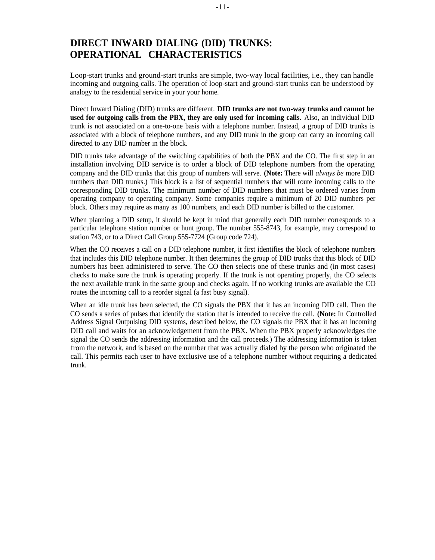# <span id="page-12-0"></span>**DIRECT INWARD DIALING (DID) TRUNKS: OPERATIONAL CHARACTERISTICS**

Loop-start trunks and ground-start trunks are simple, two-way local facilities, i.e., they can handle incoming and outgoing calls. The operation of loop-start and ground-start trunks can be understood by analogy to the residential service in your your home.

Direct Inward Dialing (DID) trunks are different. **DID trunks are not two-way trunks and cannot be used for outgoing calls from the PBX, they are only used for incoming calls.** Also, an individual DID trunk is not associated on a one-to-one basis with a telephone number. Instead, a group of DID trunks is associated with a block of telephone numbers, and any DID trunk in the group can carry an incoming call directed to any DID number in the block.

DID trunks take advantage of the switching capabilities of both the PBX and the CO. The first step in an installation involving DID service is to order a block of DID telephone numbers from the operating company and the DID trunks that this group of numbers will serve. **(Note:** There will *always be* more DID numbers than DID trunks.) This block is a list of sequential numbers that will route incoming calls to the corresponding DID trunks. The minimum number of DID numbers that must be ordered varies from operating company to operating company. Some companies require a minimum of 20 DID numbers per block. Others may require as many as 100 numbers, and each DID number is billed to the customer.

When planning a DID setup, it should be kept in mind that generally each DID number corresponds to a particular telephone station number or hunt group. The number 555-8743, for example, may correspond to station 743, or to a Direct Call Group 555-7724 (Group code 724).

When the CO receives a call on a DID telephone number, it first identifies the block of telephone numbers that includes this DID telephone number. It then determines the group of DID trunks that this block of DID numbers has been administered to serve. The CO then selects one of these trunks and (in most cases) checks to make sure the trunk is operating properly. If the trunk is not operating properly, the CO selects the next available trunk in the same group and checks again. If no working trunks are available the CO routes the incoming call to a reorder signal (a fast busy signal).

When an idle trunk has been selected, the CO signals the PBX that it has an incoming DID call. Then the CO sends a series of pulses that identify the station that is intended to receive the call. **(Note:** In Controlled Address Signal Outpulsing DID systems, described below, the CO signals the PBX that it has an incoming DID call and waits for an acknowledgement from the PBX. When the PBX properly acknowledges the signal the CO sends the addressing information and the call proceeds.) The addressing information is taken from the network, and is based on the number that was actually dialed by the person who originated the call. This permits each user to have exclusive use of a telephone number without requiring a dedicated trunk.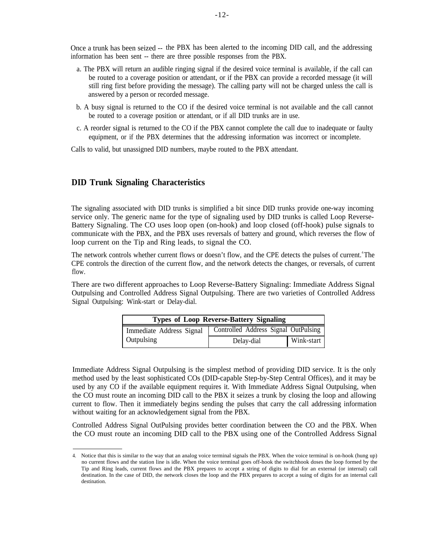<span id="page-13-0"></span>Once a trunk has been seized -- the PBX has been alerted to the incoming DID call, and the addressing information has been sent -- there are three possible responses from the PBX.

- a. The PBX will return an audible ringing signal if the desired voice terminal is available, if the call can be routed to a coverage position or attendant, or if the PBX can provide a recorded message (it will still ring first before providing the message). The calling party will not be charged unless the call is answered by a person or recorded message.
- b. A busy signal is returned to the CO if the desired voice terminal is not available and the call cannot be routed to a coverage position or attendant, or if all DID trunks are in use.
- c. A reorder signal is returned to the CO if the PBX cannot complete the call due to inadequate or faulty equipment, or if the PBX determines that the addressing information was incorrect or incomplete.

Calls to valid, but unassigned DID numbers, maybe routed to the PBX attendant.

#### **DID Trunk Signaling Characteristics**

The signaling associated with DID trunks is simplified a bit since DID trunks provide one-way incoming service only. The generic name for the type of signaling used by DID trunks is called Loop Reverse-Battery Signaling. The CO uses loop open (on-hook) and loop closed (off-hook) pulse signals to communicate with the PBX, and the PBX uses reversals of battery and ground, which reverses the flow of loop current on the Tip and Ring leads, to signal the CO.

The network controls whether current flows or doesn't flow, and the CPE detects the pulses of current.<sup>4</sup>The CPE controls the direction of the current flow, and the network detects the changes, or reversals, of current flow.

There are two different approaches to Loop Reverse-Battery Signaling: Immediate Address Signal Outpulsing and Controlled Address Signal Outpulsing. There are two varieties of Controlled Address Signal Outpulsing: Wink-start or Delay-dial.

| <b>Types of Loop Reverse-Battery Signaling</b> |                                      |            |  |
|------------------------------------------------|--------------------------------------|------------|--|
| Immediate Address Signal                       | Controlled Address Signal OutPulsing |            |  |
| Outpulsing                                     | Delay-dial                           | Wink-start |  |

Immediate Address Signal Outpulsing is the simplest method of providing DID service. It is the only method used by the least sophisticated COs (DID-capable Step-by-Step Central Offices), and it may be used by any CO if the available equipment requires it. With Immediate Address Signal Outpulsing, when the CO must route an incoming DID call to the PBX it seizes a trunk by closing the loop and allowing current to flow. Then it immediately begins sending the pulses that carry the call addressing information without waiting for an acknowledgement signal from the PBX.

Controlled Address Signal OutPulsing provides better coordination between the CO and the PBX. When the CO must route an incoming DID call to the PBX using one of the Controlled Address Signal

<sup>4.</sup> Notice that this is similar to the way that an analog voice terminal signals the PBX. When the voice terminal is on-hook (hung up) no current flows and the station line is idle. When the voice terminal goes off-hook the switchhook doses the loop formed by the Tip and Ring leads, current flows and the PBX prepares to accept a string of digits to dial for an external (or internal) call destination. In the case of DID, the network closes the loop and the PBX prepares to accept a suing of digits for an internal call destination.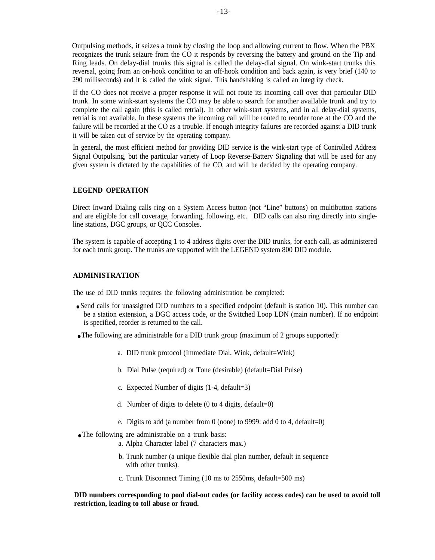<span id="page-14-0"></span>Outpulsing methods, it seizes a trunk by closing the loop and allowing current to flow. When the PBX recognizes the trunk seizure from the CO it responds by reversing the battery and ground on the Tip and Ring leads. On delay-dial trunks this signal is called the delay-dial signal. On wink-start trunks this reversal, going from an on-hook condition to an off-hook condition and back again, is very brief (140 to 290 milliseconds) and it is called the wink signal. This handshaking is called an integrity check.

If the CO does not receive a proper response it will not route its incoming call over that particular DID trunk. In some wink-start systems the CO may be able to search for another available trunk and try to complete the call again (this is called retrial). In other wink-start systems, and in all delay-dial systems, retrial is not available. In these systems the incoming call will be routed to reorder tone at the CO and the failure will be recorded at the CO as a trouble. If enough integrity failures are recorded against a DID trunk it will be taken out of service by the operating company.

In general, the most efficient method for providing DID service is the wink-start type of Controlled Address Signal Outpulsing, but the particular variety of Loop Reverse-Battery Signaling that will be used for any given system is dictated by the capabilities of the CO, and will be decided by the operating company.

#### **LEGEND OPERATION**

Direct Inward Dialing calls ring on a System Access button (not "Line" buttons) on multibutton stations and are eligible for call coverage, forwarding, following, etc. DID calls can also ring directly into singleline stations, DGC groups, or QCC Consoles.

The system is capable of accepting 1 to 4 address digits over the DID trunks, for each call, as administered for each trunk group. The trunks are supported with the LEGEND system 800 DID module.

#### **ADMINISTRATION**

The use of DID trunks requires the following administration be completed:

- Send calls for unassigned DID numbers to a specified endpoint (default is station 10). This number can be a station extension, a DGC access code, or the Switched Loop LDN (main number). If no endpoint is specified, reorder is returned to the call.
- The following are administrable for a DID trunk group (maximum of 2 groups supported):
	- a. DID trunk protocol (Immediate Dial, Wink, default=Wink)
	- b. Dial Pulse (required) or Tone (desirable) (default=Dial Pulse)
	- c. Expected Number of digits (1-4, default=3)
	- d. Number of digits to delete (0 to 4 digits, default=0)
	- e. Digits to add (a number from 0 (none) to 9999: add 0 to 4, default=0)
- The following are administrable on a trunk basis:
	- a. Alpha Character label (7 characters max.)
	- b. Trunk number (a unique flexible dial plan number, default in sequence with other trunks).
	- c. Trunk Disconnect Timing (10 ms to 2550ms, default=500 ms)

#### **DID numbers corresponding to pool dial-out codes (or facility access codes) can be used to avoid toll restriction, leading to toll abuse or fraud.**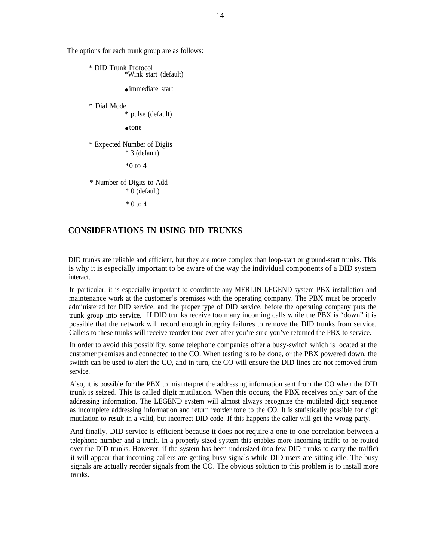The options for each trunk group are as follows:

\* DID Trunk Protocol \*Wink start (default) ● immediate start

\* Dial Mode

\* pulse (default)

 $\bullet$  tone

\* Expected Number of Digits \* 3 (default)

 $*0$  to 4

\* Number of Digits to Add \* 0 (default)

 $*$  0 to 4

#### **CONSIDERATIONS IN USING DID TRUNKS**

DID trunks are reliable and efficient, but they are more complex than loop-start or ground-start trunks. This is why it is especially important to be aware of the way the individual components of a DID system interact.

In particular, it is especially important to coordinate any MERLIN LEGEND system PBX installation and maintenance work at the customer's premises with the operating company. The PBX must be properly administered for DID service, and the proper type of DID service, before the operating company puts the trunk group into service. If DID trunks receive too many incoming calls while the PBX is "down" it is possible that the network will record enough integrity failures to remove the DID trunks from service. Callers to these trunks will receive reorder tone even after you're sure you've returned the PBX to service.

In order to avoid this possibility, some telephone companies offer a busy-switch which is located at the customer premises and connected to the CO. When testing is to be done, or the PBX powered down, the switch can be used to alert the CO, and in turn, the CO will ensure the DID lines are not removed from service.

Also, it is possible for the PBX to misinterpret the addressing information sent from the CO when the DID trunk is seized. This is called digit mutilation. When this occurs, the PBX receives only part of the addressing information. The LEGEND system will almost always recognize the mutilated digit sequence as incomplete addressing information and return reorder tone to the CO. It is statistically possible for digit mutilation to result in a valid, but incorrect DID code. If this happens the caller will get the wrong party.

And finally, DID service is efficient because it does not require a one-to-one correlation between a telephone number and a trunk. In a properly sized system this enables more incoming traffic to be routed over the DID trunks. However, if the system has been undersized (too few DID trunks to carry the traffic) it will appear that incoming callers are getting busy signals while DID users are sitting idle. The busy signals are actually reorder signals from the CO. The obvious solution to this problem is to install more trunks.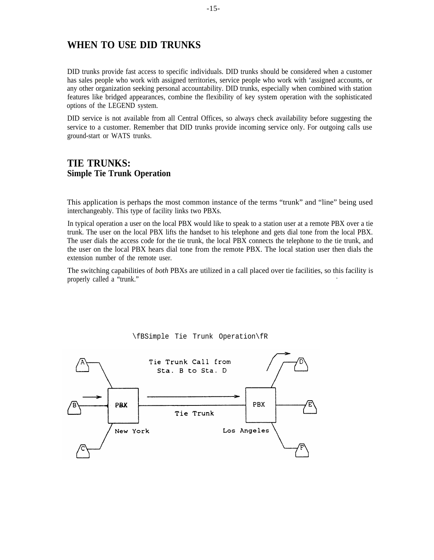# <span id="page-16-0"></span>**WHEN TO USE DID TRUNKS**

DID trunks provide fast access to specific individuals. DID trunks should be considered when a customer has sales people who work with assigned territories, service people who work with 'assigned accounts, or any other organization seeking personal accountability. DID trunks, especially when combined with station features like bridged appearances, combine the flexibility of key system operation with the sophisticated options of the LEGEND system.

DID service is not available from all Central Offices, so always check availability before suggesting the service to a customer. Remember that DID trunks provide incoming service only. For outgoing calls use ground-start or WATS trunks.

## **TIE TRUNKS: Simple Tie Trunk Operation**

This application is perhaps the most common instance of the terms "trunk" and "line" being used interchangeably. This type of facility links two PBXs.

In typical operation a user on the local PBX would like to speak to a station user at a remote PBX over a tie trunk. The user on the local PBX lifts the handset to his telephone and gets dial tone from the local PBX. The user dials the access code for the tie trunk, the local PBX connects the telephone to the tie trunk, and the user on the local PBX hears dial tone from the remote PBX. The local station user then dials the extension number of the remote user.

The switching capabilities of *both* PBXs are utilized in a call placed over tie facilities, so this facility is properly called a "trunk."



\fBSimple Tie Trunk Operation\fR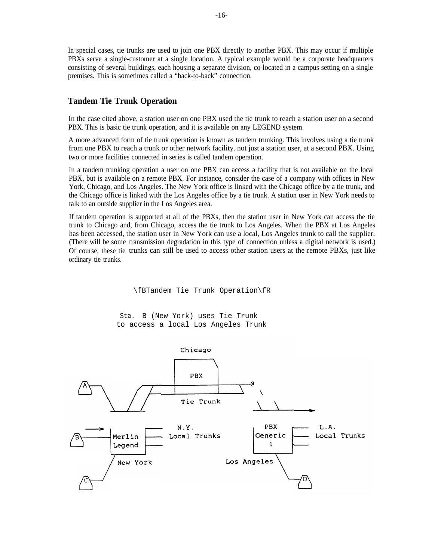<span id="page-17-0"></span>In special cases, tie trunks are used to join one PBX directly to another PBX. This may occur if multiple PBXs serve a single-customer at a single location. A typical example would be a corporate headquarters consisting of several buildings, each housing a separate division, co-located in a campus setting on a single premises. This is sometimes called a "back-to-back" connection.

#### **Tandem Tie Trunk Operation**

In the case cited above, a station user on one PBX used the tie trunk to reach a station user on a second PBX. This is basic tie trunk operation, and it is available on any LEGEND system.

A more advanced form of tie trunk operation is known as tandem trunking. This involves using a tie trunk from one PBX to reach a trunk or other network facility. not just a station user, at a second PBX. Using two or more facilities connected in series is called tandem operation.

In a tandem trunking operation a user on one PBX can access a facility that is not available on the local PBX, but is available on a remote PBX. For instance, consider the case of a company with offices in New York, Chicago, and Los Angeles. The New York office is linked with the Chicago office by a tie trunk, and the Chicago office is linked with the Los Angeles office by a tie trunk. A station user in New York needs to talk to an outside supplier in the Los Angeles area.

(There will be some transmission degradation in this type of connection unless a digital network is used.) Of course, these tie trunks can still be used to access other station users at the remote PBXs, just like ordinary tie trunks. If tandem operation is supported at all of the PBXs, then the station user in New York can access the tie trunk to Chicago and, from Chicago, access the tie trunk to Los Angeles. When the PBX at Los Angeles has been accessed, the station user in New York can use a local, Los Angeles trunk to call the supplier.

\fBTandem Tie Trunk Operation\fR

Sta. B (New York) uses Tie Trunk to access a local Los Angeles Trunk

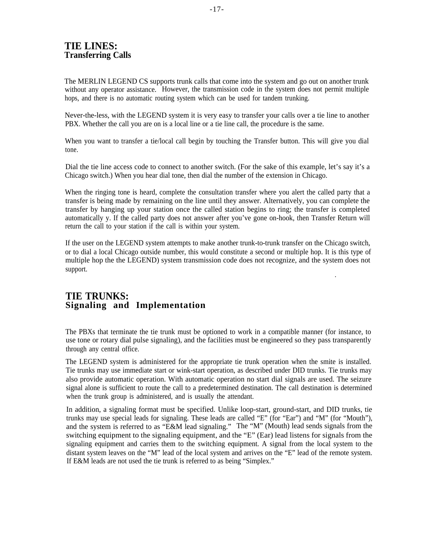# <span id="page-18-0"></span>**TIE LINES: Transferring Calls**

The MERLIN LEGEND CS supports trunk calls that come into the system and go out on another trunk without any operator assistance. However, the transmission code in the system does not permit multiple hops, and there is no automatic routing system which can be used for tandem trunking.

Never-the-less, with the LEGEND system it is very easy to transfer your calls over a tie line to another PBX. Whether the call you are on is a local line or a tie line call, the procedure is the same.

When you want to transfer a tie/local call begin by touching the Transfer button. This will give you dial tone.

Dial the tie line access code to connect to another switch. (For the sake of this example, let's say it's a Chicago switch.) When you hear dial tone, then dial the number of the extension in Chicago.

When the ringing tone is heard, complete the consultation transfer where you alert the called party that a transfer is being made by remaining on the line until they answer. Alternatively, you can complete the transfer by hanging up your station once the called station begins to ring; the transfer is completed automatically y. If the called party does not answer after you've gone on-hook, then Transfer Return will return the call to your station if the call is within your system.

If the user on the LEGEND system attempts to make another trunk-to-trunk transfer on the Chicago switch, or to dial a local Chicago outside number, this would constitute a second or multiple hop. It is this type of multiple hop the the LEGEND) system transmission code does not recognize, and the system does not support. .

## **TIE TRUNKS: Signaling and Implementation**

The PBXs that terminate the tie trunk must be optioned to work in a compatible manner (for instance, to use tone or rotary dial pulse signaling), and the facilities must be engineered so they pass transparently through any central office.

The LEGEND system is administered for the appropriate tie trunk operation when the smite is installed. Tie trunks may use immediate start or wink-start operation, as described under DID trunks. Tie trunks may also provide automatic operation. With automatic operation no start dial signals are used. The seizure signal alone is sufficient to route the call to a predetermined destination. The call destination is determined when the trunk group is administered, and is usually the attendant.

In addition, a signaling format must be specified. Unlike loop-start, ground-start, and DID trunks, tie trunks may use special leads for signaling. These leads are called "E" (for "Ear") and "M" (for "Mouth"), and the system is referred to as "E&M lead signaling." The "M" (Mouth) lead sends signals from the switching equipment to the signaling equipment, and the "E" (Ear) lead listens for signals from the signaling equipment and carries them to the switching equipment. A signal from the local system to the distant system leaves on the "M" lead of the local system and arrives on the "E" lead of the remote system. If E&M leads are not used the tie trunk is referred to as being "Simplex."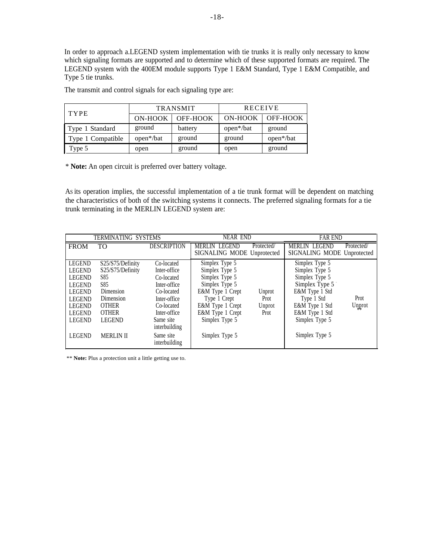In order to approach a.LEGEND system implementation with tie trunks it is really only necessary to know which signaling formats are supported and to determine which of these supported formats are required. The LEGEND system with the 400EM module supports Type 1 E&M Standard, Type 1 E&M Compatible, and Type 5 tie trunks.

| <b>TYPE</b>       | <b>TRANSMIT</b>        |          | <b>RECEIVE</b>         |                        |
|-------------------|------------------------|----------|------------------------|------------------------|
|                   | ON-HOOK                | OFF-HOOK | ON-HOOK                | OFF-HOOK               |
| Type 1 Standard   | ground                 | battery  | open <sup>*</sup> /bat | ground                 |
| Type 1 Compatible | open <sup>*</sup> /bat | ground   | ground                 | open <sup>*</sup> /bat |
| Type 5            | open                   | ground   | open                   | ground                 |

The transmit and control signals for each signaling type are:

\* **Note:** An open circuit is preferred over battery voltage.

AS its operation implies, the successful implementation of a tie trunk format will be dependent on matching the characteristics of both of the switching systems it connects. The preferred signaling formats for a tie trunk terminating in the MERLIN LEGEND system are:

|               | TERMINATING SYSTEMS |                            | <b>NEAR END</b>            |            | <b>FAR END</b>             |            |
|---------------|---------------------|----------------------------|----------------------------|------------|----------------------------|------------|
| <b>FROM</b>   | <b>TO</b>           | <b>DESCRIPTION</b>         | <b>MERLIN LEGEND</b>       | Protected/ | <b>MERLIN LEGEND</b>       | Protected/ |
|               |                     |                            | SIGNALING MODE Unprotected |            | SIGNALING MODE Unprotected |            |
| <b>LEGEND</b> | S25/S75/Definity    | Co-located                 | Simplex Type 5             |            | Simplex Type 5             |            |
| <b>LEGEND</b> | S25/S75/Definity    | Inter-office               | Simplex Type 5             |            | Simplex Type 5             |            |
| <b>LEGEND</b> | S85                 | Co-located                 | Simplex Type 5             |            | Simplex Type 5             |            |
| <b>LEGEND</b> | S85                 | Inter-office               | Simplex Type 5             |            | Simplex Type 5             |            |
| <b>LEGEND</b> | Dimension           | Co-located                 | E&M Type 1 Crept           | Unprot     | E&M Type 1 Std             |            |
| <b>LEGEND</b> | Dimension           | Inter-office               | Type 1 Crept               | Prot       | Type 1 Std                 | Prot       |
| <b>LEGEND</b> | <b>OTHER</b>        | Co-located                 | E&M Type 1 Crept           | Unprot     | E&M Type 1 Std             | Unprot     |
| LEGEND        | <b>OTHER</b>        | Inter-office               | E&M Type 1 Crept           | Prot       | E&M Type 1 Std             |            |
| <b>LEGEND</b> | <b>LEGEND</b>       | Same site                  | Simplex Type 5             |            | Simplex Type 5             |            |
|               |                     | interbuilding              |                            |            |                            |            |
| <b>LEGEND</b> | <b>MERLIN II</b>    | Same site<br>interbuilding | Simplex Type 5             |            | Simplex Type 5             |            |

\*\* **Note:** Plus a protection unit a little getting use to.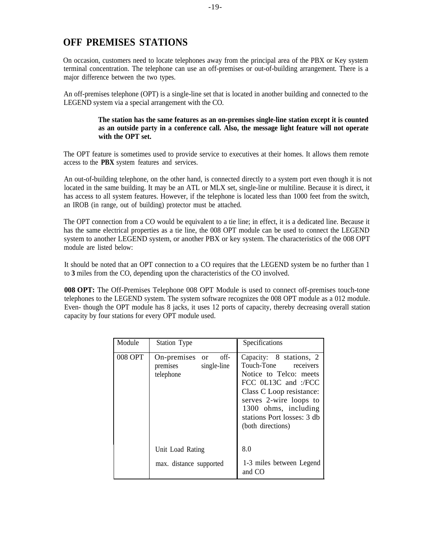# <span id="page-20-0"></span>**OFF PREMISES STATIONS**

On occasion, customers need to locate telephones away from the principal area of the PBX or Key system terminal concentration. The telephone can use an off-premises or out-of-building arrangement. There is a major difference between the two types.

An off-premises telephone (OPT) is a single-line set that is located in another building and connected to the LEGEND system via a special arrangement with the CO.

#### **The station has the same features as an on-premises single-line station except it is counted as an outside party in a conference call. Also, the message light feature will not operate with the OPT set.**

The OPT feature is sometimes used to provide service to executives at their homes. It allows them remote access to the **PBX** system features and services.

An out-of-building telephone, on the other hand, is connected directly to a system port even though it is not located in the same building. It may be an ATL or MLX set, single-line or multiline. Because it is direct, it has access to all system features. However, if the telephone is located less than 1000 feet from the switch, an IROB (in range, out of building) protector must be attached.

The OPT connection from a CO would be equivalent to a tie line; in effect, it is a dedicated line. Because it has the same electrical properties as a tie line, the 008 OPT module can be used to connect the LEGEND system to another LEGEND system, or another PBX or key system. The characteristics of the 008 OPT module are listed below:

It should be noted that an OPT connection to a CO requires that the LEGEND system be no further than 1 to **3** miles from the CO, depending upon the characteristics of the CO involved.

**008 OPT:** The Off-Premises Telephone 008 OPT Module is used to connect off-premises touch-tone telephones to the LEGEND system. The system software recognizes the 008 OPT module as a 012 module. Even- though the OPT module has 8 jacks, it uses 12 ports of capacity, thereby decreasing overall station capacity by four stations for every OPT module used.

| Module         | Station Type                                                   | Specifications                                                                                                                                                                                                                    |
|----------------|----------------------------------------------------------------|-----------------------------------------------------------------------------------------------------------------------------------------------------------------------------------------------------------------------------------|
| <b>008 OPT</b> | off-<br>On-premises or<br>single-line<br>premises<br>telephone | Capacity: 8 stations, 2<br>Touch-Tone receivers<br>Notice to Telco: meets<br>FCC 0L13C and :/FCC<br>Class C Loop resistance:<br>serves 2-wire loops to<br>1300 ohms, including<br>stations Port losses: 3 db<br>(both directions) |
|                | Unit Load Rating<br>max. distance supported                    | 8.0<br>1-3 miles between Legend<br>and CO                                                                                                                                                                                         |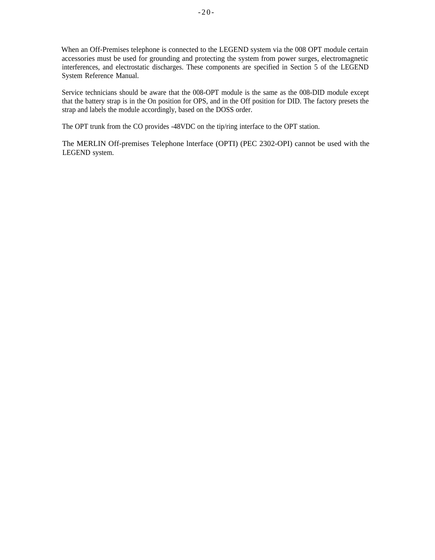When an Off-Premises telephone is connected to the LEGEND system via the 008 OPT module certain accessories must be used for grounding and protecting the system from power surges, electromagnetic interferences, and electrostatic discharges. These components are specified in Section 5 of the LEGEND System Reference Manual.

Service technicians should be aware that the 008-OPT module is the same as the 008-DID module except that the battery strap is in the On position for OPS, and in the Off position for DID. The factory presets the strap and labels the module accordingly, based on the DOSS order.

The OPT trunk from the CO provides -48VDC on the tip/ring interface to the OPT station.

The MERLIN Off-premises Telephone lnterface (OPTI) (PEC 2302-OPI) cannot be used with the LEGEND system.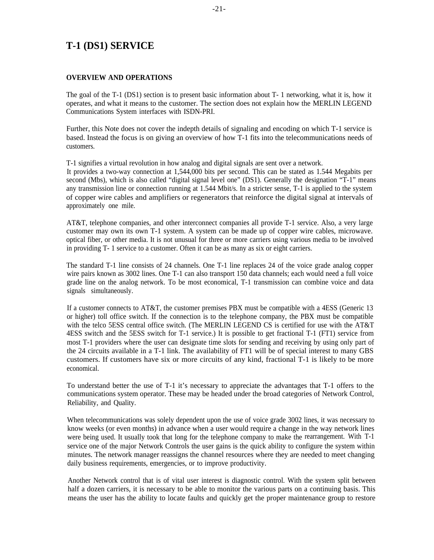# <span id="page-22-0"></span>**T-1 (DS1) SERVICE**

#### **OVERVIEW AND OPERATIONS**

The goal of the T-1 (DS1) section is to present basic information about T- 1 networking, what it is, how it operates, and what it means to the customer. The section does not explain how the MERLIN LEGEND Communications System interfaces with ISDN-PRI.

Further, this Note does not cover the indepth details of signaling and encoding on which T-1 service is based. Instead the focus is on giving an overview of how T-1 fits into the telecommunications needs of customers.

T-1 signifies a virtual revolution in how analog and digital signals are sent over a network.

It provides a two-way connection at 1,544,000 bits per second. This can be stated as 1.544 Megabits per second (Mbs), which is also called "digital signal level one" (DS1). Generally the designation "T-1" means any transmission line or connection running at 1.544 Mbit/s. In a stricter sense, T-1 is applied to the system of copper wire cables and amplifiers or regenerators that reinforce the digital signal at intervals of approximately one mile.

AT&T, telephone companies, and other interconnect companies all provide T-1 service. Also, a very large customer may own its own T-1 system. A system can be made up of copper wire cables, microwave. optical fiber, or other media. It is not unusual for three or more carriers using various media to be involved in providing T- 1 service to a customer. Often it can be as many as six or eight carriers.

The standard T-1 line consists of 24 channels. One T-1 line replaces 24 of the voice grade analog copper wire pairs known as 3002 lines. One T-1 can also transport 150 data channels; each would need a full voice grade line on the analog network. To be most economical, T-1 transmission can combine voice and data signals simultaneously.

If a customer connects to AT&T, the customer premises PBX must be compatible with a 4ESS (Generic 13 or higher) toll office switch. If the connection is to the telephone company, the PBX must be compatible with the telco 5ESS central office switch. (The MERLIN LEGEND CS is certified for use with the AT&T 4ESS switch and the 5ESS switch for T-1 service.) It is possible to get fractional T-1 (FT1) service from most T-1 providers where the user can designate time slots for sending and receiving by using only part of the 24 circuits available in a T-1 link. The availability of FT1 will be of special interest to many GBS customers. If customers have six or more circuits of any kind, fractional T-1 is likely to be more economical.

To understand better the use of T-1 it's necessary to appreciate the advantages that T-1 offers to the communications system operator. These may be headed under the broad categories of Network Control, Reliability, and Quality.

When telecommunications was solely dependent upon the use of voice grade 3002 lines, it was necessary to know weeks (or even months) in advance when a user would require a change in the way network lines were being used. It usually took that long for the telephone company to make the rearrangement. With T-1 service one of the major Network Controls the user gains is the quick ability to configure the system within minutes. The network manager reassigns the channel resources where they are needed to meet changing daily business requirements, emergencies, or to improve productivity.

Another Network control that is of vital user interest is diagnostic control. With the system split between half a dozen carriers, it is necessary to be able to monitor the various parts on a continuing basis. This means the user has the ability to locate faults and quickly get the proper maintenance group to restore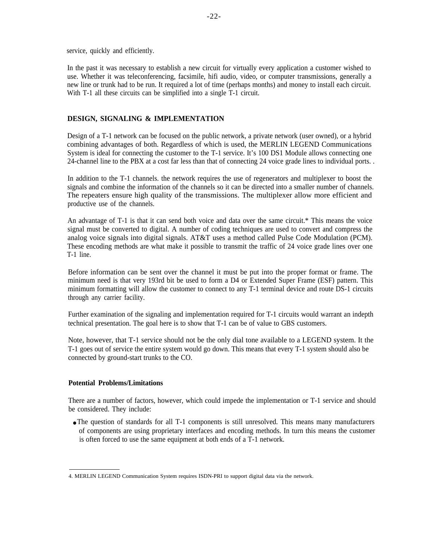service, quickly and efficiently.

In the past it was necessary to establish a new circuit for virtually every application a customer wished to use. Whether it was teleconferencing, facsimile, hifi audio, video, or computer transmissions, generally a new line or trunk had to be run. It required a lot of time (perhaps months) and money to install each circuit. With T-1 all these circuits can be simplified into a single T-1 circuit.

#### **DESIGN, SIGNALING & IMPLEMENTATION**

Design of a T-1 network can be focused on the public network, a private network (user owned), or a hybrid combining advantages of both. Regardless of which is used, the MERLIN LEGEND Communications System is ideal for connecting the customer to the T-1 service. It's 100 DS1 Module allows connecting one 24-channel line to the PBX at a cost far less than that of connecting 24 voice grade lines to individual ports. .

In addition to the T-1 channels. the network requires the use of regenerators and multiplexer to boost the signals and combine the information of the channels so it can be directed into a smaller number of channels. The repeaters ensure high quality of the transmissions. The multiplexer allow more efficient and productive use of the channels.

An advantage of T-1 is that it can send both voice and data over the same circuit.\* This means the voice signal must be converted to digital. A number of coding techniques are used to convert and compress the analog voice signals into digital signals. AT&T uses a method called Pulse Code Modulation (PCM). These encoding methods are what make it possible to transmit the traffic of 24 voice grade lines over one T-1 line.

Before information can be sent over the channel it must be put into the proper format or frame. The minimum need is that very 193rd bit be used to form a D4 or Extended Super Frame (ESF) pattern. This minimum formatting will allow the customer to connect to any T-1 terminal device and route DS-1 circuits through any carrier facility.

Further examination of the signaling and implementation required for T-1 circuits would warrant an indepth technical presentation. The goal here is to show that T-1 can be of value to GBS customers.

Note, however, that T-1 service should not be the only dial tone available to a LEGEND system. It the T-1 goes out of service the entire system would go down. This means that every T-1 system should also be connected by ground-start trunks to the CO.

#### **Potential Problems/Limitations**

There are a number of factors, however, which could impede the implementation or T-1 service and should be considered. They include:

• The question of standards for all T-1 components is still unresolved. This means many manufacturers of components are using proprietary interfaces and encoding methods. In turn this means the customer is often forced to use the same equipment at both ends of a T-1 network.

<sup>4.</sup> MERLIN LEGEND Communication System requires ISDN-PRI to support digital data via the network.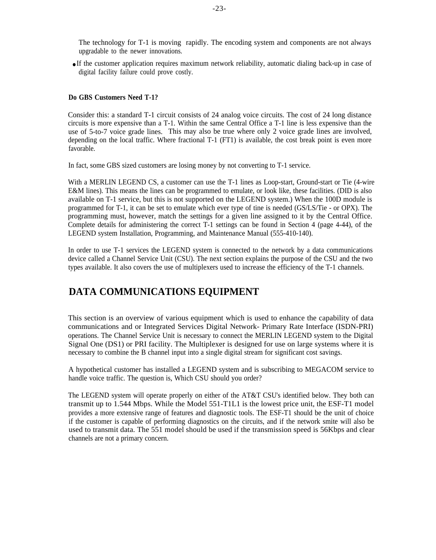<span id="page-24-0"></span>The technology for T-1 is moving rapidly. The encoding system and components are not always upgradable to the newer innovations.

● If the customer application requires maximum network reliability, automatic dialing back-up in case of digital facility failure could prove costly.

#### **Do GBS Customers Need T-1?**

Consider this: a standard T-1 circuit consists of 24 analog voice circuits. The cost of 24 long distance circuits is more expensive than a T-1. Within the same Central Office a T-1 line is less expensive than the use of 5-to-7 voice grade lines. This may also be true where only 2 voice grade lines are involved, depending on the local traffic. Where fractional T-1 (FT1) is available, the cost break point is even more favorable.

In fact, some GBS sized customers are losing money by not converting to T-1 service.

With a MERLIN LEGEND CS, a customer can use the T-1 lines as Loop-start, Ground-start or Tie (4-wire E&M lines). This means the lines can be programmed to emulate, or look like, these facilities. (DID is also available on T-1 service, but this is not supported on the LEGEND system.) When the 100D module is programmed for T-1, it can be set to emulate which ever type of tine is needed (GS/LS/Tie - or OPX). The programming must, however, match the settings for a given line assigned to it by the Central Office. Complete details for administering the correct T-1 settings can be found in Section 4 (page 4-44), of the LEGEND system Installation, Programming, and Maintenance Manual (555-410-140).

In order to use T-1 services the LEGEND system is connected to the network by a data communications device called a Channel Service Unit (CSU). The next section explains the purpose of the CSU and the two types available. It also covers the use of multiplexers used to increase the efficiency of the T-1 channels.

# **DATA COMMUNICATIONS EQUIPMENT**

This section is an overview of various equipment which is used to enhance the capability of data communications and or Integrated Services Digital Network- Primary Rate Interface (ISDN-PRI) operations. The Channel Service Unit is necessary to connect the MERLIN LEGEND system to the Digital Signal One (DS1) or PRI facility. The Multiplexer is designed for use on large systems where it is necessary to combine the B channel input into a single digital stream for significant cost savings.

A hypothetical customer has installed a LEGEND system and is subscribing to MEGACOM service to handle voice traffic. The question is, Which CSU should you order?

The LEGEND system will operate properly on either of the AT&T CSU's identified below. They both can transmit up to 1.544 Mbps. While the Model 551-T1L1 is the lowest price unit, the ESF-T1 model provides a more extensive range of features and diagnostic tools. The ESF-T1 should be the unit of choice if the customer is capable of performing diagnostics on the circuits, and if the network smite will also be used to transmit data. The 551 model should be used if the transmission speed is 56Kbps and clear channels are not a primary concern.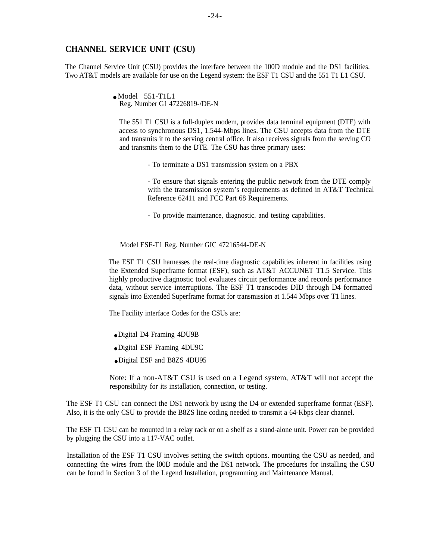#### **CHANNEL SERVICE UNIT (CSU)**

The Channel Service Unit (CSU) provides the interface between the 100D module and the DS1 facilities. TWO AT&T models are available for use on the Legend system: the ESF T1 CSU and the 551 T1 L1 CSU.

> $\bullet$  Model 551-T1L1 Reg. Number G1 47226819-/DE-N

The 551 T1 CSU is a full-duplex modem, provides data terminal equipment (DTE) with access to synchronous DS1, 1.544-Mbps lines. The CSU accepts data from the DTE and transmits it to the serving central office. It also receives signals from the serving CO and transmits them to the DTE. The CSU has three primary uses:

- To terminate a DS1 transmission system on a PBX

- To ensure that signals entering the public network from the DTE comply with the transmission system's requirements as defined in AT&T Technical Reference 62411 and FCC Part 68 Requirements.

- To provide maintenance, diagnostic. and testing capabilities.

Model ESF-T1 Reg. Number GIC 47216544-DE-N

The ESF T1 CSU harnesses the real-time diagnostic capabilities inherent in facilities using the Extended Superframe format (ESF), such as AT&T ACCUNET T1.5 Service. This highly productive diagnostic tool evaluates circuit performance and records performance data, without service interruptions. The ESF T1 transcodes DID through D4 formatted signals into Extended Superframe format for transmission at 1.544 Mbps over T1 lines.

The Facility interface Codes for the CSUs are:

- Digital D4 Framing 4DU9B
- Digital ESF Framing 4DU9C
- Digital ESF and B8ZS 4DU95

Note: If a non-AT&T CSU is used on a Legend system, AT&T will not accept the responsibility for its installation, connection, or testing.

The ESF T1 CSU can connect the DS1 network by using the D4 or extended superframe format (ESF). Also, it is the only CSU to provide the B8ZS line coding needed to transmit a 64-Kbps clear channel.

The ESF T1 CSU can be mounted in a relay rack or on a shelf as a stand-alone unit. Power can be provided by plugging the CSU into a 117-VAC outlet.

Installation of the ESF T1 CSU involves setting the switch options. mounting the CSU as needed, and connecting the wires from the l00D module and the DS1 network. The procedures for installing the CSU can be found in Section 3 of the Legend Installation, programming and Maintenance Manual.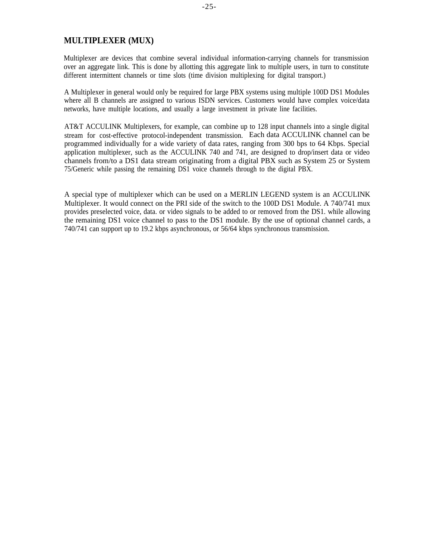### **MULTIPLEXER (MUX)**

Multiplexer are devices that combine several individual information-carrying channels for transmission over an aggregate link. This is done by allotting this aggregate link to multiple users, in turn to constitute different intermittent channels or time slots (time division multiplexing for digital transport.)

A Multiplexer in general would only be required for large PBX systems using multiple 100D DS1 Modules where all B channels are assigned to various ISDN services. Customers would have complex voice/data networks, have multiple locations, and usually a large investment in private line facilities.

AT&T ACCULINK Multiplexers, for example, can combine up to 128 input channels into a single digital stream for cost-effective protocol-independent transmission. Each data ACCULINK channel can be programmed individually for a wide variety of data rates, ranging from 300 bps to 64 Kbps. Special application multiplexer, such as the ACCULINK 740 and 741, are designed to drop/insert data or video channels from/to a DS1 data stream originating from a digital PBX such as System 25 or System 75/Generic while passing the remaining DS1 voice channels through to the digital PBX.

A special type of multiplexer which can be used on a MERLIN LEGEND system is an ACCULINK Multiplexer. It would connect on the PRI side of the switch to the 100D DS1 Module. A 740/741 mux provides preselected voice, data. or video signals to be added to or removed from the DS1. while allowing the remaining DS1 voice channel to pass to the DS1 module. By the use of optional channel cards, a 740/741 can support up to 19.2 kbps asynchronous, or 56/64 kbps synchronous transmission.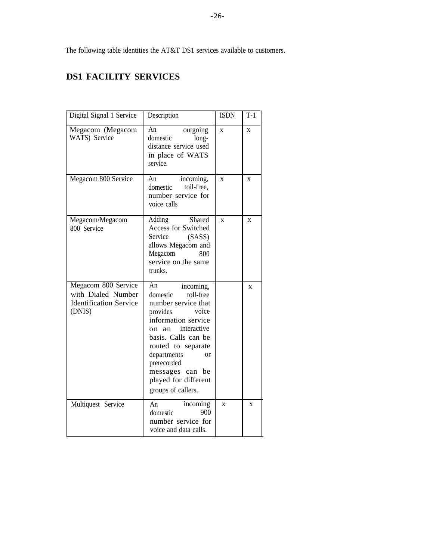<span id="page-27-0"></span>The following table identities the AT&T DS1 services available to customers.

# **DS1 FACILITY SERVICES**

| Digital Signal 1 Service                                                             | Description                                                                                                                                                                                                                                                                                 | <b>ISDN</b>             | $T-1$        |
|--------------------------------------------------------------------------------------|---------------------------------------------------------------------------------------------------------------------------------------------------------------------------------------------------------------------------------------------------------------------------------------------|-------------------------|--------------|
| Megacom (Megacom<br>WATS) Service                                                    | An<br>outgoing<br>domestic<br>long-<br>distance service used<br>in place of WATS<br>service.                                                                                                                                                                                                | $\overline{\mathbf{X}}$ | $\mathbf{x}$ |
| Megacom 800 Service                                                                  | incoming,<br>An<br>toil-free,<br>domestic<br>number service for<br>voice calls                                                                                                                                                                                                              | $\mathbf X$             | $\mathbf{x}$ |
| Megacom/Megacom<br>800 Service                                                       | Shared<br>Adding<br>Access for Switched<br>Service<br>(SASS)<br>allows Megacom and<br>Megacom<br>800<br>service on the same<br>trunks.                                                                                                                                                      | $\mathbf{x}$            | $\mathbf{x}$ |
| Megacom 800 Service<br>with Dialed Number<br><b>Identification Service</b><br>(DNIS) | An<br>incoming,<br>toll-free<br>domestic<br>number service that<br>provides<br>voice<br>information service<br>interactive<br>on an<br>basis. Calls can be<br>routed to separate<br>departments<br>$\alpha$<br>prerecorded<br>messages can be<br>played for different<br>groups of callers. |                         | $\mathbf{x}$ |
| Multiquest Service                                                                   | An<br>incoming<br>900<br>domestic<br>number service for<br>voice and data calls.                                                                                                                                                                                                            | $\mathbf x$             | X            |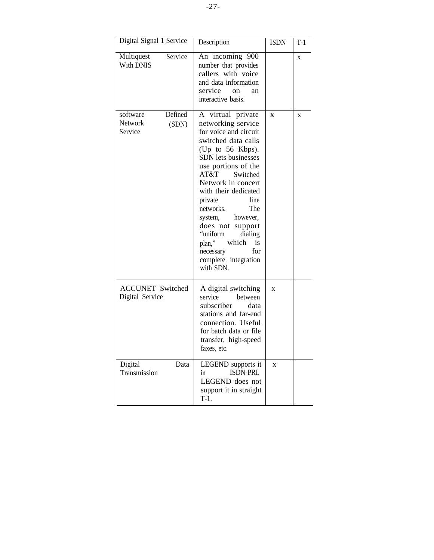| Digital Signal 1 Service                           | Description                                                                                                                                                                                                                                                                                                                                                                                                                   | <b>ISDN</b>    | $T-1$        |
|----------------------------------------------------|-------------------------------------------------------------------------------------------------------------------------------------------------------------------------------------------------------------------------------------------------------------------------------------------------------------------------------------------------------------------------------------------------------------------------------|----------------|--------------|
| Multiquest<br>Service<br>With DNIS                 | An incoming 900<br>number that provides<br>callers with voice<br>and data information<br>service<br>on<br>an<br>interactive basis.                                                                                                                                                                                                                                                                                            |                | $\mathbf X$  |
| Defined<br>software<br>Network<br>(SDN)<br>Service | A virtual private<br>networking service<br>for voice and circuit<br>switched data calls<br>(Up to 56 Kbps).<br>SDN lets businesses<br>use portions of the<br>AT&T<br>Switched<br>Network in concert<br>with their dedicated<br>line<br>private<br>networks.<br>The<br>however,<br>system,<br>does not support<br>"uniform<br>dialing<br>which<br>plan,"<br><i>is</i><br>necessary<br>for<br>complete integration<br>with SDN. | $\overline{X}$ | $\mathbf{x}$ |
| <b>ACCUNET Switched</b><br>Digital Service         | A digital switching<br>service<br>between<br>subscriber<br>data<br>stations and far-end<br>connection. Useful<br>for batch data or file<br>transfer, high-speed<br>faxes, etc.                                                                                                                                                                                                                                                | $\mathbf{x}$   |              |
| Data<br>Digital<br>Transmission                    | LEGEND supports it<br>ISDN-PRI.<br>in<br>LEGEND does not<br>support it in straight<br>$T-1.$                                                                                                                                                                                                                                                                                                                                  | $\overline{X}$ |              |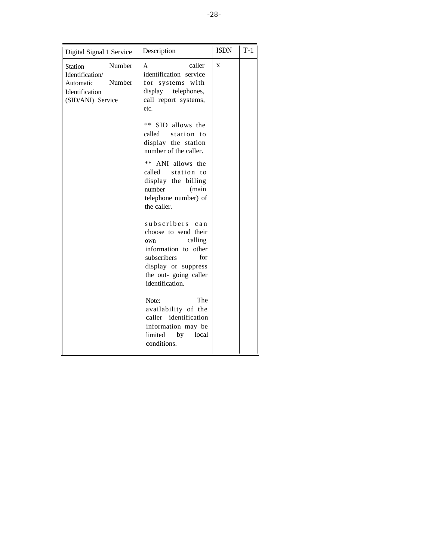| Digital Signal 1 Service                                                                                  | Description                                                                                                                                                                           | <b>ISDN</b> | $T-1$ |
|-----------------------------------------------------------------------------------------------------------|---------------------------------------------------------------------------------------------------------------------------------------------------------------------------------------|-------------|-------|
| Number<br><b>Station</b><br>Identification/<br>Number<br>Automatic<br>Identification<br>(SID/ANI) Service | caller<br>A<br>identification service<br>for systems with<br>display telephones,<br>call report systems,<br>etc.                                                                      | X           |       |
|                                                                                                           | SID allows the<br>**<br>station to<br>called<br>display the station<br>number of the caller.                                                                                          |             |       |
|                                                                                                           | **<br>ANI allows the<br>called station to<br>display the billing<br>number<br>(main<br>telephone number) of<br>the caller.                                                            |             |       |
|                                                                                                           | subscribers<br>$c$ a $n$<br>choose to send their<br>calling<br>own<br>information to<br>other<br>subscribers<br>for<br>display or suppress<br>the out-going caller<br>identification. |             |       |
|                                                                                                           | The<br>Note:<br>availability of the<br>caller identification<br>information may be<br>limited<br>by<br>local<br>conditions.                                                           |             |       |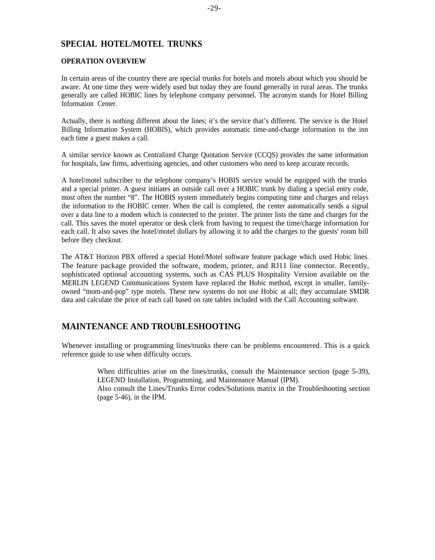### <span id="page-30-0"></span>**SPECIAL HOTEL/MOTEL TRUNKS**

#### **OPERATION OVERVIEW**

In certain areas of the country there are special trunks for hotels and motels about which you should be aware. At one time they were widely used but today they are found generally in rural areas. The trunks generally are called HOBIC lines by telephone company personnel. The acronym stands for Hotel Billing Information Center.

Actually, there is nothing different about the lines; it's the service that's different. The service is the Hotel Billing Information System (HOBIS), which provides automatic time-and-charge information to the inn each time a guest makes a call.

A similar service known as Centralized Charge Quotation Service (CCQS) provides the same information for hospitals, law firms, advertising agencies, and other customers who need to keep accurate records.

A hotel/motel subscriber to the telephone company's HOBIS service would be equipped with the trunks and a special printer. A guest initiates an outside call over a HOBIC trunk by dialing a special entry code, most often the number "8". The HOBIS system immediately begins computing time and charges and relays the information to the HOBIC center. When the call is completed, the center automatically sends a signal over a data line to a modem which is connected to the printer. The printer lists the time and charges for the call. This saves the motel operator or desk clerk from having to request the time/charge information for each call. It also saves the hotel/motel dollars by allowing it to add the charges to the guests' room bill before they checkout.

The AT&T Horizon PBX offered a special Hotel/Motel software feature package which used Hobic lines. The feature package provided the software, modem, printer, and RJ11 line connector. Recently, sophisticated optional accounting systems, such as CAS PLUS Hospitality Version available on the MERLIN LEGEND Communications System have replaced the Hobic method, except in smaller, familyowned "mom-and-pop" type motels. These new systems do not use Hobic at all; they accumulate SMDR data and calculate the price of each call based on rate tables included with the Call Accounting software.

### **MAINTENANCE AND TROUBLESHOOTING**

Whenever installing or programming lines/trunks there can be problems encountered. This is a quick reference guide to use when difficulty occurs.

> When difficulties arise on the lines/trunks, consult the Maintenance section (page 5-39), LEGEND Installation, Programming, and Maintenance Manual (IPM).

> Also consult the Lines/Trunks Error codes/Solutions matrix in the Troubleshooting section (page 5-46), in the IPM.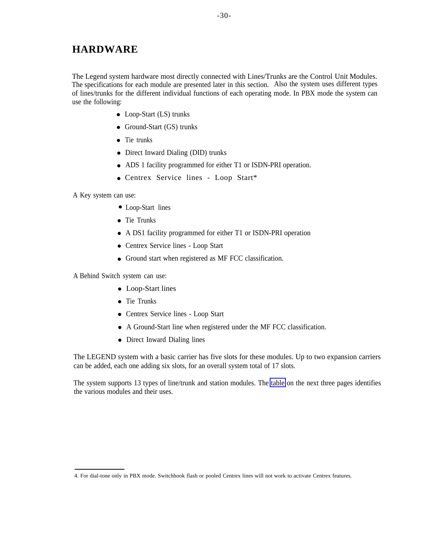<span id="page-31-0"></span>The Legend system hardware most directly connected with Lines/Trunks are the Control Unit Modules. The specifications for each module are presented later in this section. Also the system uses different types of lines/trunks for the different individual functions of each operating mode. In PBX mode the system can use the following:

- Loop-Start (LS) trunks
- Ground-Start (GS) trunks
- Tie trunks
- Direct Inward Dialing (DID) trunks
- ADS 1 facility programmed for either T1 or ISDN-PRI operation.
- Centrex Service lines Loop Start\*

A Key system can use:

- Loop-Start lines
- Tie Trunks
- A DS1 facility programmed for either T1 or ISDN-PRI operation
- Centrex Service lines Loop Start
- Ground start when registered as MF FCC classification.

A Behind Switch system can use:

- Loop-Start lines
- Tie Trunks
- Centrex Service lines Loop Start
- A Ground-Start line when registered under the MF FCC classification.
- Direct Inward Dialing lines

The LEGEND system with a basic carrier has five slots for these modules. Up to two expansion carriers can be added, each one adding six slots, for an overall system total of 17 slots.

The system supports 13 types of line/trunk and station modules. The [table](#page-32-0) on the next three pages identifies the various modules and their uses.

<sup>4.</sup> For dial-tone only in PBX mode. Switchhook flash or pooled Centrex lines will not work to activate Centrex features.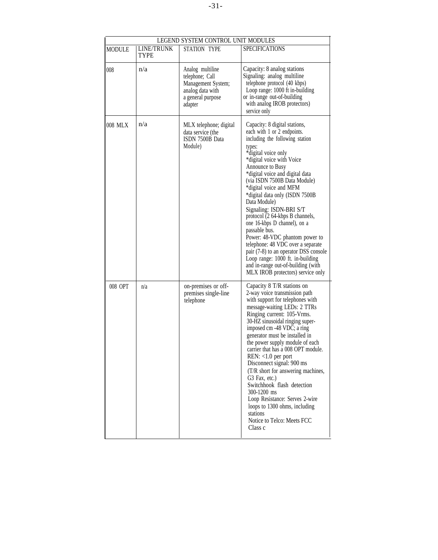<span id="page-32-0"></span>

| LEGEND SYSTEM CONTROL UNIT MODULES |                           |                                                                                                               |                                                                                                                                                                                                                                                                                                                                                                                                                                                                                                                                                                                                                                                                                |
|------------------------------------|---------------------------|---------------------------------------------------------------------------------------------------------------|--------------------------------------------------------------------------------------------------------------------------------------------------------------------------------------------------------------------------------------------------------------------------------------------------------------------------------------------------------------------------------------------------------------------------------------------------------------------------------------------------------------------------------------------------------------------------------------------------------------------------------------------------------------------------------|
| MODULE                             | LINE/TRUNK<br><b>TYPE</b> | STATION TYPE                                                                                                  | <b>SPECIFICATIONS</b>                                                                                                                                                                                                                                                                                                                                                                                                                                                                                                                                                                                                                                                          |
| 008                                | n/a                       | Analog multiline<br>telephone; Call<br>Management System;<br>analog data with<br>a general purpose<br>adapter | Capacity: 8 analog stations<br>Signaling: analog multiline<br>telephone protocol (40 kbps)<br>Loop range: 1000 ft in-building<br>or in-range out-of-building<br>with analog IROB protectors)<br>service only                                                                                                                                                                                                                                                                                                                                                                                                                                                                   |
| 008 MLX                            | n/a                       | MLX telephone; digital<br>data service (the<br>ISDN 7500B Data<br>Module)                                     | Capacity: 8 digital stations,<br>each with 1 or 2 endpoints.<br>including the following station<br>types:<br>*digital voice only<br>*digital voice with Voice<br>Announce to Busy<br>*digital voice and digital data<br>(via ISDN 7500B Data Module)<br>*digital voice and MFM<br>*digital data only (ISDN 7500B<br>Data Module)<br>Signaling: ISDN-BRI S/T<br>protocol (2 64-kbps B channels,<br>one 16-kbps D channel), on a<br>passable bus.<br>Power: 48-VDC phantom power to<br>telephone: 48 VDC over a separate<br>pair (7-8) to an operator DSS console<br>Loop range: 1000 ft. in-building<br>and in-range out-of-building (with<br>MLX IROB protectors) service only |
| 008 OPT                            | n/a                       | on-premises or off-<br>premises single-line<br>telephone                                                      | Capacity 8 T/R stations on<br>2-way voice transmission path<br>with support for telephones with<br>message-waiting LEDs: 2 TTRs<br>Ringing current: 105-Vrms.<br>30-HZ sinusoidal ringing super-<br>imposed cm -48 VDC; a ring<br>generator must be installed in<br>the power supply module of each<br>carrier that has a 008 OPT module.<br>$REN: <1.0$ per port<br>Disconnect signal: 900 ms<br>(T/R short for answering machines,<br>G3 Fax, etc.)<br>Switchhook flash detection<br>300-1200 ms<br>Loop Resistance: Serves 2-wire<br>loops to 1300 ohms, including<br>stations<br>Notice to Telco: Meets FCC<br>Class c                                                     |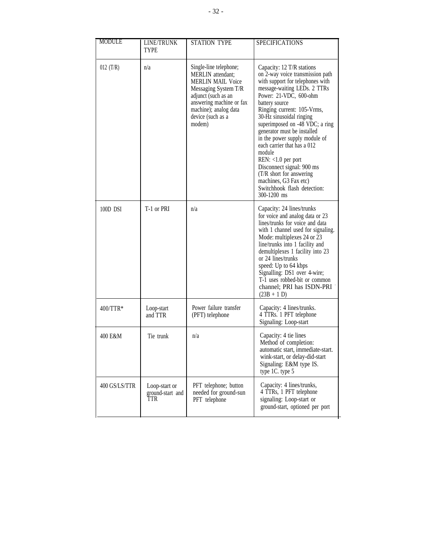| <b>MODULE</b> | LINE/TRUNK<br><b>TYPE</b>                | <b>STATION TYPE</b>                                                                                                                                                                                        | <b>SPECIFICATIONS</b>                                                                                                                                                                                                                                                                                                                                                                                                                                                                                                                       |
|---------------|------------------------------------------|------------------------------------------------------------------------------------------------------------------------------------------------------------------------------------------------------------|---------------------------------------------------------------------------------------------------------------------------------------------------------------------------------------------------------------------------------------------------------------------------------------------------------------------------------------------------------------------------------------------------------------------------------------------------------------------------------------------------------------------------------------------|
| 012 $(T/R)$   | n/a                                      | Single-line telephone;<br>MERLIN attendant;<br><b>MERLIN MAIL Voice</b><br>Messaging System T/R<br>adjunct (such as an<br>answering machine or fax<br>machine); analog data<br>device (such as a<br>modem) | Capacity: 12 T/R stations<br>on 2-way voice transmission path<br>with support for telephones with<br>message-waiting LEDs. 2 TTRs<br>Power: 21-VDC, 600-ohm<br>battery source<br>Ringing current: 105-Vrms,<br>30-Hz sinusoidal ringing<br>superimposed on -48 VDC; a ring<br>generator must be installed<br>in the power supply module of<br>each carrier that has a 012<br>module<br>$REN: <1.0$ per port<br>Disconnect signal: 900 ms<br>(T/R short for answering<br>machines, G3 Fax etc)<br>Switchhook flash detection:<br>300-1200 ms |
| 100D DSI      | T-1 or PRI                               | n/a                                                                                                                                                                                                        | Capacity: 24 lines/trunks<br>for voice and analog data or 23<br>lines/trunks for voice and data<br>with 1 channel used for signaling.<br>Mode: multiplexes 24 or 23<br>line/trunks into 1 facility and<br>demultiplexes 1 facility into 23<br>or 24 lines/trunks<br>speed: Up to 64 kbps<br>Signalling: DS1 over 4-wire;<br>T-1 uses robbed-bit or common<br>channel; PRI has ISDN-PRI<br>$(23B + 1 D)$                                                                                                                                     |
| $400/TTR*$    | Loop-start<br>and TTR                    | Power failure transfer<br>(PFT) telephone                                                                                                                                                                  | Capacity: 4 lines/trunks.<br>4 TTRs. 1 PFT telephone<br>Signaling: Loop-start                                                                                                                                                                                                                                                                                                                                                                                                                                                               |
| 400 E&M       | Tie trunk                                | n/a                                                                                                                                                                                                        | Capacity: 4 tie lines<br>Method of completion:<br>automatic start, immediate-start.<br>wink-start, or delay-did-start<br>Signaling: E&M type IS.<br>type 1C. type 5                                                                                                                                                                                                                                                                                                                                                                         |
| 400 GS/LS/TTR | Loop-start or<br>ground-start and<br>TTR | PFT telephone; button<br>needed for ground-sun<br>PFT telephone                                                                                                                                            | Capacity: 4 lines/trunks,<br>4 TTRs, 1 PFT telephone<br>signaling: Loop-start or<br>ground-start, optioned per port                                                                                                                                                                                                                                                                                                                                                                                                                         |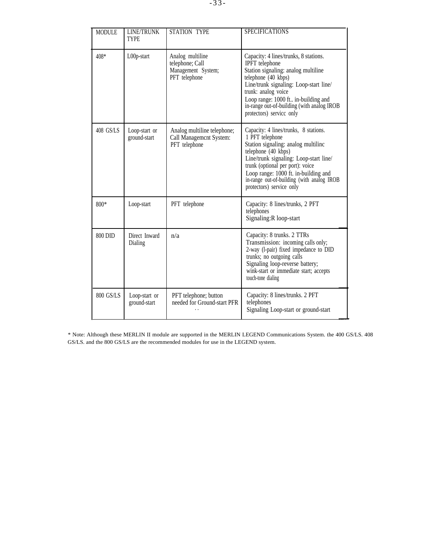| <b>MODULE</b> | LINE/TRUNK<br><b>TYPE</b>     | STATION TYPE                                                               | <b>SPECIFICATIONS</b>                                                                                                                                                                                                                                                                                                  |
|---------------|-------------------------------|----------------------------------------------------------------------------|------------------------------------------------------------------------------------------------------------------------------------------------------------------------------------------------------------------------------------------------------------------------------------------------------------------------|
| 408*          | L00p-start                    | Analog multiline<br>telephone; Call<br>Management System;<br>PFT telephone | Capacity: 4 lines/trunks, 8 stations.<br><b>IPFT</b> telephone<br>Station signaling: analog multiline<br>telephone (40 kbps)<br>Line/trunk signaling: Loop-start line/<br>trunk: analog voice<br>Loop range: 1000 ft in-building and<br>in-range out-of-building (with analog IROB<br>protectors) service only         |
| $408$ GS/LS   | Loop-start or<br>ground-start | Analog multiline telephone;<br>Call Management System:<br>PFT telephone    | Capacity: 4 lines/trunks, 8 stations.<br>1 PFT telephone<br>Station signaling: analog multiline<br>telephone (40 kbps)<br>Line/trunk signaling: Loop-start line/<br>trunk (optional per port): voice<br>Loop range: 1000 ft. in-building and<br>in-range out-of-building (with analog IROB<br>protectors) service only |
| $800*$        | Loop-start                    | PFT telephone                                                              | Capacity: 8 lines/trunks, 2 PFT<br>telephones<br>Signaling: R loop-start                                                                                                                                                                                                                                               |
| 800 DID       | Direct Inward<br>Dialing      | n/a                                                                        | Capacity: 8 trunks. 2 TTRs<br>Transmission: incoming calls only;<br>2-way (l-pair) fixed impedance to DID<br>trunks; no outgoing calls<br>Signaling loop-reverse battery;<br>wink-start or immediate start; accepts<br>touch-tone dialing                                                                              |
| 800 GS/LS     | Loop-start or<br>ground-start | PFT telephone; button<br>needed for Ground-start PFR                       | Capacity: 8 lines/trunks. 2 PFT<br>telephones<br>Signaling Loop-start or ground-start                                                                                                                                                                                                                                  |

\* Note: Although these MERLIN II module are supported in the MERLIN LEGEND Communications System. the 400 GS/LS. 408 GS/LS. and the 800 GS/LS are the recommended modules for use in the LEGEND system.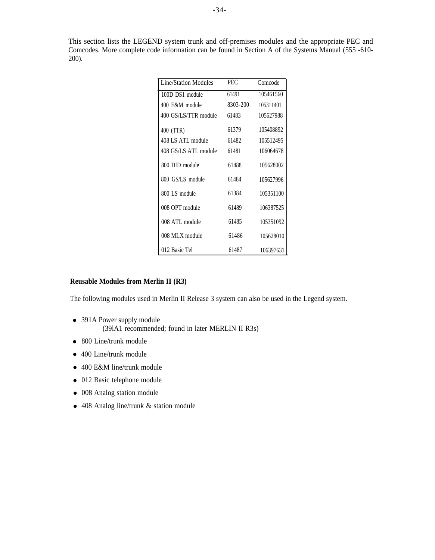This section lists the LEGEND system trunk and off-premises modules and the appropriate PEC and Comcodes. More complete code information can be found in Section A of the Systems Manual (555 -610- 200).

| <b>Line/Station Modules</b> | PEC      | Comcode   |
|-----------------------------|----------|-----------|
| 100D DS1 module             | 61491    | 105461560 |
| 400 E&M module              | 8303-200 | 105311401 |
| 400 GS/LS/TTR module        | 61483    | 105627988 |
| 400 (TTR)                   | 61379    | 105408892 |
| 408 LS ATL module           | 61482    | 105512495 |
| 408 GS/LS ATL module        | 61481    | 106064678 |
| 800 DID module              | 61488    | 105628002 |
| 800 GS/LS module            | 61484    | 105627996 |
| 800 LS module               | 61384    | 105351100 |
| 008 OPT module              | 61489    | 106387525 |
| 008 ATL module              | 61485    | 105351092 |
| 008 MLX module              | 61486    | 105628010 |
| 012 Basic Tel               | 61487    | 106397631 |

#### **Reusable Modules from Merlin II (R3)**

The following modules used in Merlin II Release 3 system can also be used in the Legend system.

- 391A Power supply module (39lA1 recommended; found in later MERLIN II R3s)
- 800 Line/trunk module
- 400 Line/trunk module
- 400 E&M line/trunk module
- 012 Basic telephone module
- 008 Analog station module
- 408 Analog line/trunk & station module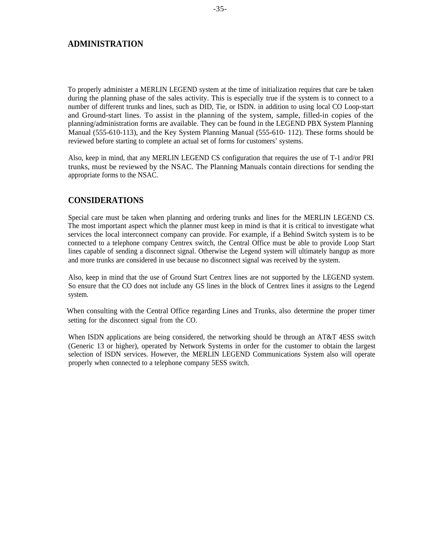#### <span id="page-36-0"></span>**ADMINISTRATION**

To properly administer a MERLIN LEGEND system at the time of initialization requires that care be taken during the planning phase of the sales activity. This is especially true if the system is to connect to a number of different trunks and lines, such as DID, Tie, or ISDN. in addition to using local CO Loop-start and Ground-start lines. To assist in the planning of the system, sample, filled-in copies of the planning/administration forms are available. They can be found in the LEGEND PBX System Planning Manual (555-610-113), and the Key System Planning Manual (555-610- 112). These forms should be reviewed before starting to complete an actual set of forms for customers' systems.

Also, keep in mind, that any MERLIN LEGEND CS configuration that requires the use of T-1 and/or PRI trunks, must be reviewed by the NSAC. The Planning Manuals contain directions for sending the appropriate forms to the NSAC.

#### **CONSIDERATIONS**

Special care must be taken when planning and ordering trunks and lines for the MERLIN LEGEND CS. The most important aspect which the planner must keep in mind is that it is critical to investigate what services the local interconnect company can provide. For example, if a Behind Switch system is to be connected to a telephone company Centrex switch, the Central Office must be able to provide Loop Start lines capable of sending a disconnect signal. Otherwise the Legend system will ultimately hangup as more and more trunks are considered in use because no disconnect signal was received by the system.

Also, keep in mind that the use of Ground Start Centrex lines are not supported by the LEGEND system. So ensure that the CO does not include any GS lines in the block of Centrex lines it assigns to the Legend system.

When consulting with the Central Office regarding Lines and Trunks, also determine the proper timer setting for the disconnect signal from the CO.

When ISDN applications are being considered, the networking should be through an AT&T 4ESS switch (Generic 13 or higher), operated by Network Systems in order for the customer to obtain the largest selection of ISDN services. However, the MERLIN LEGEND Communications System also will operate properly when connected to a telephone company 5ESS switch.